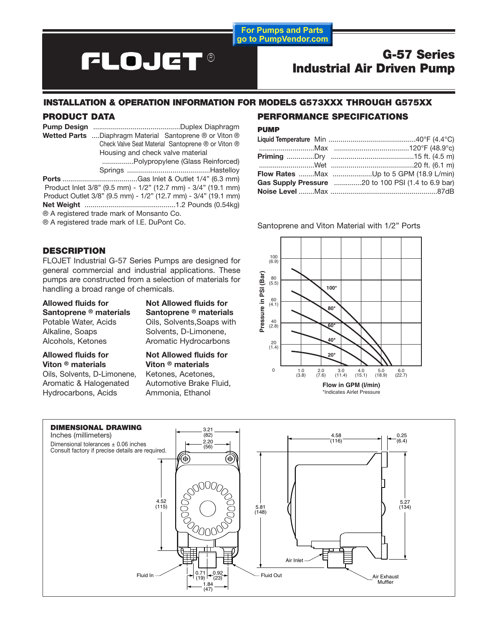**For Pumps and Parts** go to PumpVendor.com

## **FLOJET®**

### **G-57 Series Industrial Air Driven Pump**

#### **INSTALLATION & OPERATION INFORMATION FOR MODELS G573XXX THROUGH G575XX**

#### **PRODUCT DATA**

| Wetted Parts Diaphragm Material Santoprene ® or Viton ® |
|---------------------------------------------------------|
| Check Valve Seat Material Santoprene ® or Viton ®       |
| Housing and check valve material                        |
|                                                         |
|                                                         |
|                                                         |

Product Inlet 3/8" (9.5 mm) - 1/2" (12.7 mm) - 3/4" (19.1 mm) Product Outlet 3/8" (9.5 mm) - 1/2" (12.7 mm) - 3/4" (19.1 mm) **Net Weight** ..............................................1.2 Pounds (0.54kg) ® A registered trade mark of Monsanto Co.

® A registered trade mark of I.E. DuPont Co.

#### **DESCRIPTION**

FLOJET Industrial G-57 Series Pumps are designed for general commercial and industrial applications. These pumps are constructed from a selection of materials for handling a broad range of chemicals.

**Santoprene ® materials Santoprene ® materials** Alkaline, Soaps Solvents, D-Limonene, Alcohols, Ketones **Aromatic Hydrocarbons** 

Allowed fluids for **Not Allowed fluids for** Potable Water, Acids Oils, Solvents, Soaps with

Allowed fluids for **Not Allowed fluids for**<br> **Viton ® materials** Viton ® materials **Viton ® materials Viton ® materials**

Oils, Solvents, D-Limonene, Ketones, Acetones, Aromatic & Halogenated Automotive Brake Fluid, Hydrocarbons, Acids Ammonia, Ethanol

## **PERFORMANCE SPECIFICATIONS**

#### **PUMP**

| <b>Flow Rates</b> Max Up to 5 GPM (18.9 L/min)     |
|----------------------------------------------------|
| Gas Supply Pressure 20 to 100 PSI (1.4 to 6.9 bar) |
|                                                    |
|                                                    |

Santoprene and Viton Material with 1/2" Ports



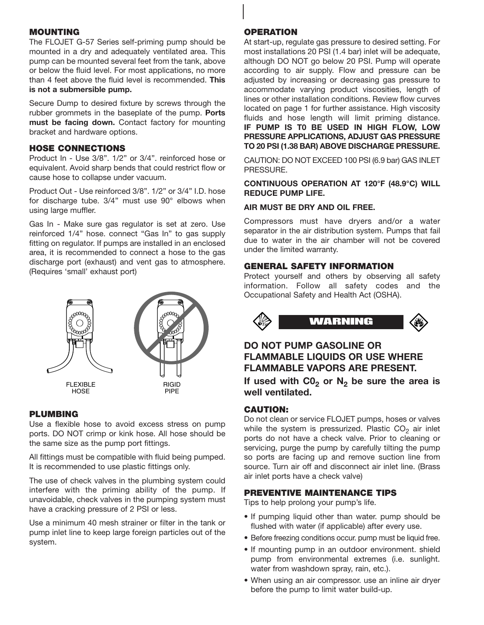#### **MOUNTING**

The FLOJET G-57 Series self-priming pump should be mounted in a dry and adequately ventilated area. This pump can be mounted several feet from the tank, above or below the fluid level. For most applications, no more than 4 feet above the fluid level is recommended. **This is not a submersible pump.**

Secure Dump to desired fixture by screws through the rubber grommets in the baseplate of the pump. **Ports must be facing down.** Contact factory for mounting bracket and hardware options.

#### **HOSE CONNECTIONS**

Product In - Use 3/8". 1/2" or 3/4". reinforced hose or equivalent. Avoid sharp bends that could restrict flow or cause hose to collapse under vacuum.

Product Out - Use reinforced 3/8". 1/2" or 3/4" I.D. hose for discharge tube. 3/4" must use 90° elbows when using large muffler.

Gas In - Make sure gas regulator is set at zero. Use reinforced 1/4" hose. connect "Gas In" to gas supply fitting on regulator. If pumps are installed in an enclosed area, it is recommended to connect a hose to the gas discharge port (exhaust) and vent gas to atmosphere. (Requires 'small' exhaust port)



#### **PLUMBING**

Use a flexible hose to avoid excess stress on pump ports. DO NOT crimp or kink hose. All hose should be the same size as the pump port fittings.

All fittings must be compatible with fluid being pumped. It is recommended to use plastic fittings only.

The use of check valves in the plumbing system could interfere with the priming ability of the pump. If unavoidable, check valves in the pumping system must have a cracking pressure of 2 PSI or less.

Use a minimum 40 mesh strainer or filter in the tank or pump inlet line to keep large foreign particles out of the system.

#### **OPERATION**

At start-up, regulate gas pressure to desired setting. For most installations 20 PSI (1.4 bar) inlet will be adequate, although DO NOT go below 20 PSI. Pump will operate according to air supply. Flow and pressure can be adjusted by increasing or decreasing gas pressure to accommodate varying product viscosities, length of lines or other installation conditions. Review flow curves located on page 1 for further assistance. High viscosity fluids and hose length will limit priming distance. **IF PUMP IS T0 BE USED IN HIGH FLOW, LOW PRESSURE APPLICATIONS, ADJUST GAS PRESSURE TO 20 PSI (1.38 BAR) ABOVE DISCHARGE PRESSURE.**

CAUTION: DO NOT EXCEED 100 PSI (6.9 bar) GAS INLET PRESSURE.

#### **CONTINUOUS OPERATION AT 120°F (48.9°C) WILL REDUCE PUMP LIFE.**

#### **AIR MUST BE DRY AND OIL FREE.**

Compressors must have dryers and/or a water separator in the air distribution system. Pumps that fail due to water in the air chamber will not be covered under the limited warranty.

#### **GENERAL SAFETY INFORMATION**

Protect yourself and others by observing all safety information. Follow all safety codes and the Occupational Safety and Health Act (OSHA).



#### **DO NOT PUMP GASOLINE OR FLAMMABLE LIQUIDS OR USE WHERE FLAMMABLE VAPORS ARE PRESENT.**

If used with  $CO<sub>2</sub>$  or  $N<sub>2</sub>$  be sure the area is **well ventilated.**

#### **CAUTION:**

Do not clean or service FLOJET pumps, hoses or valves while the system is pressurized. Plastic  $CO<sub>2</sub>$  air inlet ports do not have a check valve. Prior to cleaning or servicing, purge the pump by carefully tilting the pump so ports are facing up and remove suction line from source. Turn air off and disconnect air inlet line. (Brass air inlet ports have a check valve)

#### **PREVENTIVE MAINTENANCE TIPS**

Tips to help prolong your pump's life.

- If pumping liquid other than water. pump should be flushed with water (if applicable) after every use.
- Before freezing conditions occur. pump must be liquid free.
- If mounting pump in an outdoor environment. shield pump from environmental extremes (i.e. sunlight. water from washdown spray, rain, etc.).
- When using an air compressor, use an inline air dryer before the pump to limit water build-up.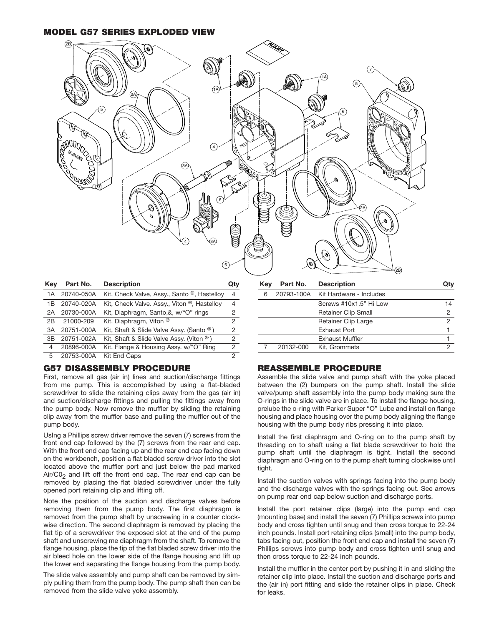**MODEL G57 SERIES EXPLODED VIEW**



| Kev | Part No.   | <b>Description</b>                          | Qt۱           |
|-----|------------|---------------------------------------------|---------------|
| 1 A | 20740-050A | Kit, Check Valve, Assy., Santo ®, Hastelloy | 4             |
| 1B  | 20740-020A | Kit, Check Valve. Assy., Viton ®, Hastelloy | 4             |
| 2A  | 20730-000A | Kit, Diaphragm, Santo,&, w/"O" rings        | 2             |
| 2Β  | 21000-209  | Kit, Diaphragm, Viton ®                     | $\mathcal{P}$ |
| 3A  | 20751-000A | Kit, Shaft & Slide Valve Assy. (Santo ®)    | $\mathcal{P}$ |
| 3B  | 20751-002A | Kit, Shaft & Slide Valve Assy. (Viton ®)    | $\mathcal{P}$ |
| 4   | 20896-000A | Kit, Flange & Housing Assy. w/"O" Ring      | $\mathcal{P}$ |
| 5   | 20753-000A | Kit End Caps                                | $\mathcal{P}$ |
|     |            |                                             |               |

#### **G57 DISASSEMBLY PROCEDURE**

First, remove all gas (air in) lines and suction/discharge fittings from me pump. This is accomplished by using a flat-bladed screwdriver to slide the retaining clips away from the gas (air in) and suction/discharge fittings and pulling the fittings away from the pump body. Now remove the muffler by sliding the retaining clip away from the muffler base and pulling the muffler out of the pump body.

UsIng a Phillips screw driver remove the seven (7) screws from the front end cap followed by the (7) screws from the rear end cap. With the front end cap facing up and the rear end cap facing down on the workbench, position a flat bladed screw driver into the slot located above the muffler port and just below the pad marked  $Air/CO<sub>2</sub>$  and lift off the front end cap. The rear end cap can be removed by placing the flat bladed screwdriver under the fully opened port retaining clip and lifting off.

Note the position of the suction and discharge valves before removing them from the pump body. The first diaphragm is removed from the pump shaft by unscrewing in a counter clockwise direction. The second diaphragm is removed by placing the flat tip of a screwdriver the exposed slot at the end of the pump shaft and unscrewing me diaphragm from the shaft. To remove the flange housing, place the tip of the flat bladed screw driver into the air bleed hole on the lower side of the flange housing and lift up the lower end separating the flange housing from the pump body.

The slide valve assembly and pump shaft can be removed by simply pulling them from the pump body. The pump shaft then can be removed from the slide valve yoke assembly.

| Kev | Part No.  | <b>Description</b>                 |                |
|-----|-----------|------------------------------------|----------------|
| ൳   |           | 20793-100A Kit Hardware - Includes |                |
|     |           | Screws #10x1.5" Hi Low             | 14             |
|     |           | <b>Retainer Clip Small</b>         | $\overline{2}$ |
|     |           | <b>Retainer Clip Large</b>         | 2              |
|     |           | Exhaust Port                       |                |
|     |           | <b>Exhaust Muffler</b>             |                |
|     | 20132-000 | Kit. Grommets                      | 2              |

#### **REASSEMBLE PROCEDURE**

Assemble the slide valve and pump shaft with the yoke placed between the (2) bumpers on the pump shaft. Install the slide valve/pump shaft assembly into the pump body making sure the O-rings in the slide valve are in place. To install the flange housing, prelube the o-ring with Parker Super "O" Lube and install on flange housing and place housing over the pump body aligning the flange housing with the pump body ribs pressing it into place.

Install the first diaphragm and O-ring on to the pump shaft by threading on to shaft using a flat blade screwdriver to hold the pump shaft until the diaphragm is tight. Install the second diaphragm and O-ring on to the pump shaft turning clockwise until tight.

Install the suction valves with springs facing into the pump body and the discharge valves with the springs facing out. See arrows on pump rear end cap below suction and discharge ports.

Install the port retainer clips (large) into the pump end cap (mounting base) and install the seven (7) Phillips screws into pump body and cross tighten until snug and then cross torque to 22-24 inch pounds. Install port retaining clips (small) into the pump body, tabs facing out, position the front end cap and install the seven (7) Phillips screws into pump body and cross tighten until snug and then cross torque to 22-24 inch pounds.

Install the muffler in the center port by pushing it in and sliding the retainer clip into place. Install the suction and discharge ports and the (air in) port fitting and slide the retainer clips in place. Check for leaks.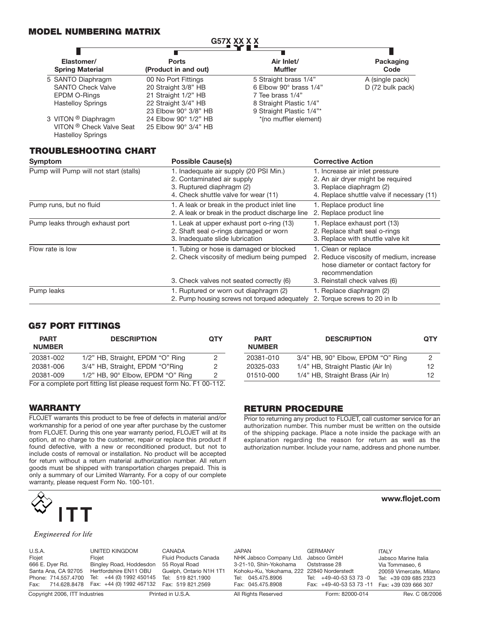#### **MODEL NUMBERING MATRIX**

| 9378 AA A A                          |                                      |                              |                   |
|--------------------------------------|--------------------------------------|------------------------------|-------------------|
|                                      |                                      |                              |                   |
| Elastomer/<br><b>Spring Material</b> | <b>Ports</b><br>(Product in and out) | Air Inlet/<br><b>Muffler</b> | Packaging<br>Code |
| 5 SANTO Diaphragm                    | 00 No Port Fittings                  | 5 Straight brass 1/4"        | A (single pack)   |
| <b>SANTO Check Valve</b>             | 20 Straight 3/8" HB                  | 6 Elbow 90° brass 1/4"       | D (72 bulk pack)  |
| EPDM O-Rings                         | 21 Straight 1/2" HB                  | 7 Tee brass 1/4"             |                   |
| <b>Hastelloy Springs</b>             | 22 Straight 3/4" HB                  | 8 Straight Plastic 1/4"      |                   |
|                                      | 23 Elbow 90° 3/8" HB                 | 9 Straight Plastic 1/4"*     |                   |
| 3 VITON <sup>®</sup> Diaphragm       | 24 Elbow 90° 1/2" HB                 | *(no muffler element)        |                   |
| VITON ® Check Valve Seat             | 25 Elbow 90° 3/4" HB                 |                              |                   |
| <b>Hastelloy Springs</b>             |                                      |                              |                   |

**G57X XX X X**

#### **TROUBLESHOOTING CHART**

| <b>Symptom</b>                         | <b>Possible Cause(s)</b>                                                                                                                  | <b>Corrective Action</b>                                                                                                                                  |
|----------------------------------------|-------------------------------------------------------------------------------------------------------------------------------------------|-----------------------------------------------------------------------------------------------------------------------------------------------------------|
| Pump will Pump will not start (stalls) | 1. Inadequate air supply (20 PSI Min.)<br>2. Contaminated air supply<br>3. Ruptured diaphragm (2)<br>4. Check shuttle valve for wear (11) | 1. Increase air inlet pressure<br>2. An air dryer might be required<br>3. Replace diaphragm (2)<br>4. Replace shuttle valve if necessary (11)             |
| Pump runs, but no fluid                | 1. A leak or break in the product inlet line<br>2. A leak or break in the product discharge line                                          | 1. Replace product line<br>2. Replace product line                                                                                                        |
| Pump leaks through exhaust port        | 1. Leak at upper exhaust port o-ring (13)<br>2. Shaft seal o-rings damaged or worn<br>3. Inadequate slide lubrication                     | 1. Replace exhaust port (13)<br>2. Replace shaft seal o-rings<br>3. Replace with shuttle valve kit                                                        |
| Flow rate is low                       | 1. Tubing or hose is damaged or blocked<br>2. Check viscosity of medium being pumped<br>3. Check valves not seated correctly (6)          | 1. Clean or replace<br>2. Reduce viscosity of medium, increase<br>hose diameter or contact factory for<br>recommendation<br>3. Reinstall check valves (6) |
| Pump leaks                             | 1. Ruptured or worn out diaphragm (2)<br>2. Pump housing screws not torqued adequately                                                    | 1. Replace diaphragm (2)<br>2. Torque screws to 20 in Ib.                                                                                                 |

#### **G57 PORT FITTINGS**

| <b>PART</b><br><b>NUMBER</b> | <b>DESCRIPTION</b>                                                  | <b>QTY</b> |
|------------------------------|---------------------------------------------------------------------|------------|
| 20381-002                    | 1/2" HB, Straight, EPDM "O" Ring                                    | 2          |
| 20381-006                    | 3/4" HB, Straight, EPDM "O"Ring                                     | 2          |
| 20381-009                    | 1/2" HB, 90° Elbow, EPDM "O" Ring                                   | 2          |
|                              | For a complete port fitting list please request form No. F1 00-112. |            |

**WARRANTY** 

FLOJET warrants this product to be free of defects in material and/or workmanship for a period of one year after purchase by the customer from FLOJET. During this one year warranty period, FLOJET will at its option, at no charge to the customer, repair or replace this product if found defective, with a new or reconditioned product, but not to include costs of removal or installation. No product will be accepted for return without a return material authorization number. All return goods must be shipped with transportation charges prepaid. This is only a summary of our Limited Warranty. For a copy of our complete warranty, please request Form No. 100-101.



#### Engineered for life

| U.S.A.<br>Flojet<br>666 E. Dyer Rd.<br>Santa Ana, CA 92705<br>Phone: 714.557.4700 | UNITED KINGDOM<br>Floiet<br>Bingley Road, Hoddesdon<br>Hertfordshire EN11 OBU<br>Tel: +44 (0) 1992 450145<br>Fax: 714.628.8478  Fax: +44 (0) 1992  467132  Fax: 519  821.2569 | CANADA<br><b>Fluid Products Canada</b><br>55 Roval Road<br>Guelph, Ontario N1H 1T1<br>Tel: 519 821.1900 | JAPAN<br>NHK Jabsco Company Ltd. Jabsco GmbH<br>3-21-10, Shin-Yokohama<br>Kohoku-Ku, Yokohama, 222 22840 Norderstedt<br>Tel: 045.475.8906<br>Fax: 045.475.8908 | <b>GERMANY</b><br>Oststrasse 28<br>Tel: +49-40-53 53 73 -0<br>Fax: +49-40-53 53 73 -11 | <b>ITALY</b><br>Jabsco Marine Italia<br>Via Tommaseo, 6<br>20059 Vimercate, Milano<br>Tel: +39 039 685 2323<br>Fax: +39 039 666 307 |
|-----------------------------------------------------------------------------------|-------------------------------------------------------------------------------------------------------------------------------------------------------------------------------|---------------------------------------------------------------------------------------------------------|----------------------------------------------------------------------------------------------------------------------------------------------------------------|----------------------------------------------------------------------------------------|-------------------------------------------------------------------------------------------------------------------------------------|
| Copyright 2006, ITT Industries                                                    |                                                                                                                                                                               | Printed in U.S.A.                                                                                       | All Rights Reserved                                                                                                                                            | Form: 82000-014                                                                        | Rev. C 08/2006                                                                                                                      |

| <b>PART</b><br><b>NUMBER</b> | <b>DESCRIPTION</b>                 | <b>QTY</b> |
|------------------------------|------------------------------------|------------|
| 20381-010                    | 3/4" HB, 90° Elbow, EPDM "O" Ring  | 2          |
| 20325-033                    | 1/4" HB, Straight Plastic (Air In) | 12         |
| 01510-000                    | 1/4" HB, Straight Brass (Air In)   | 12         |

#### **RETURN PROCEDURE**

Prior to returning any product to FLOJET, call customer service for an authorization number. This number must be written on the outside of the shipping package. Place a note inside the package with an explanation regarding the reason for return as well as the authorization number. Include your name, address and phone number.

#### **www.flojet.com**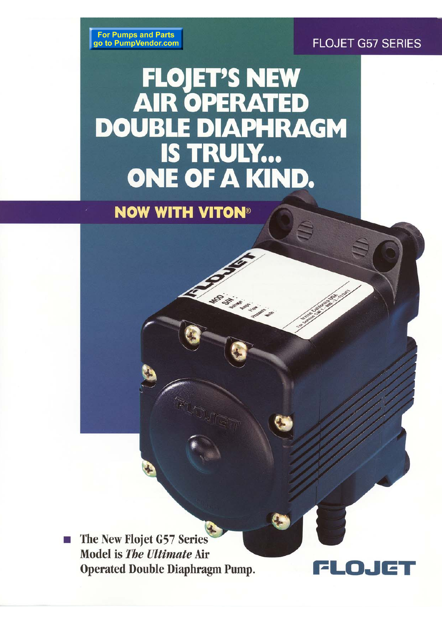## **FLOJET G57 SERIES**

DJ

 $\Box$ 

**For Pumps and Parts** go to PumpVendor.com

## **FLOJET'S NEW<br>AIR OPERATED DOUBLE DIAPHRAGM** IS TRULY... **ONE OF A KIND.**

A. Maria La La La La

**NOW WITH VITON®** 

The New Flojet G57 Series Model is The Ultimate Air **Operated Double Diaphragm Pump.**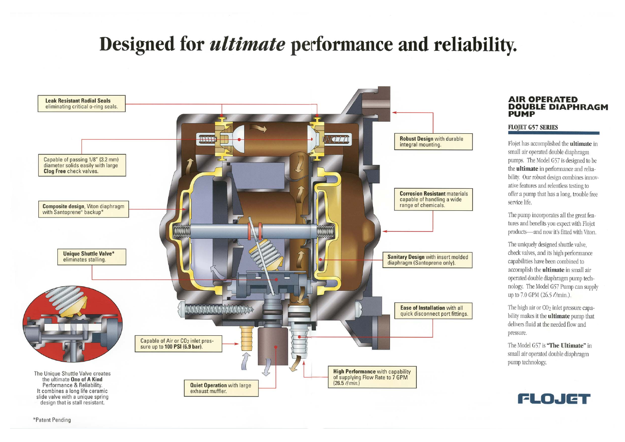# Designed for *ultimate* performance and reliability.



\*Patent Pending

### **AIR OPERATED DOUBLE DIAPHRAGM PUMP**

#### **FLOJET G57 SERIES**

Flojet has accomplished the **ultimate** in small air operated double diaphragm pumps. The Model G57 is designed to be the **ultimate** in performance and reliability. Our robust design combines innovative features and relentless testing to offer a pump that has a long, trouble free service life.

The pump incorporates all the great features and benefits you expect with Flojet products-and now it's fitted with Viton.

The uniquely designed shuttle valve, check valves, and its high performance capabilities have been combined to accomplish the **ultimate** in small air operated double diaphragm pump technology. The Model G57 Pump can supply up to 7.0 GPM (26.5  $\ell$ /min.).

The high air or CO<sub>2</sub> inlet pressure capability makes it the **ultimate** pump that delivers fluid at the needed flow and pressure.

The Model G57 is "The Ultimate" in small air operated double diaphragm pump technology.